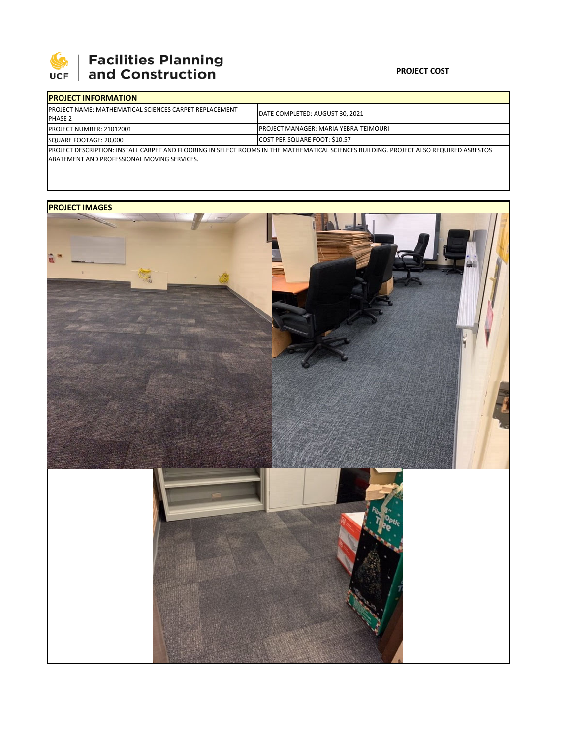

# 

### **PROJECT COST**

| <b>IPROJECT INFORMATION</b>                                                                                                            |                                               |  |  |  |
|----------------------------------------------------------------------------------------------------------------------------------------|-----------------------------------------------|--|--|--|
| <b>IPROJECT NAME: MATHEMATICAL SCIENCES CARPET REPLACEMENT</b><br><b>PHASE 2</b>                                                       | DATE COMPLETED: AUGUST 30, 2021               |  |  |  |
| <b>PROJECT NUMBER: 21012001</b>                                                                                                        | <b>IPROJECT MANAGER: MARIA YEBRA-TEIMOURI</b> |  |  |  |
| SQUARE FOOTAGE: 20.000                                                                                                                 | <b>COST PER SQUARE FOOT: \$10.57</b>          |  |  |  |
| PROJECT DESCRIPTION: INSTALL CARPET AND FLOORING IN SELECT ROOMS IN THE MATHEMATICAL SCIENCES BUILDING. PROJECT ALSO REQUIRED ASBESTOS |                                               |  |  |  |
| ABATEMENT AND PROFESSIONAL MOVING SERVICES.                                                                                            |                                               |  |  |  |

### **PROJECT IMAGES**